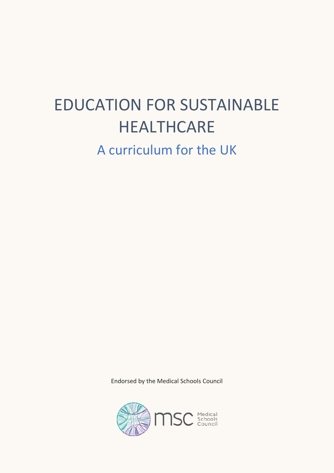# EDUCATION FOR SUSTAINABLE HEALTHCARE

# A curriculum for the UK

Endorsed by the Medical Schools Council

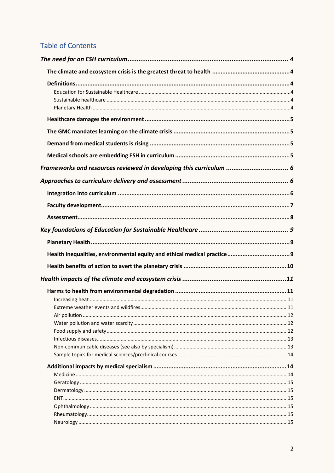# **Table of Contents**

| Frameworks and resources reviewed in developing this curriculum  6 |  |
|--------------------------------------------------------------------|--|
|                                                                    |  |
|                                                                    |  |
|                                                                    |  |
|                                                                    |  |
|                                                                    |  |
|                                                                    |  |
|                                                                    |  |
|                                                                    |  |
|                                                                    |  |
|                                                                    |  |
|                                                                    |  |
|                                                                    |  |
|                                                                    |  |
|                                                                    |  |
|                                                                    |  |
|                                                                    |  |
|                                                                    |  |
|                                                                    |  |
|                                                                    |  |
|                                                                    |  |
|                                                                    |  |
|                                                                    |  |
|                                                                    |  |
|                                                                    |  |
|                                                                    |  |
|                                                                    |  |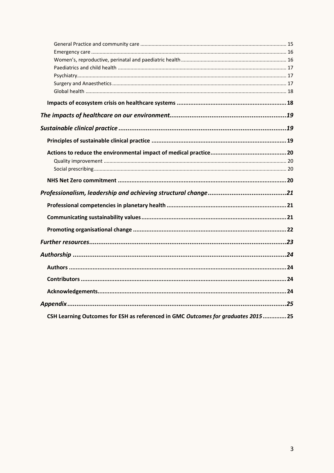| CSH Learning Outcomes for ESH as referenced in GMC Outcomes for graduates 2015  25 |  |
|------------------------------------------------------------------------------------|--|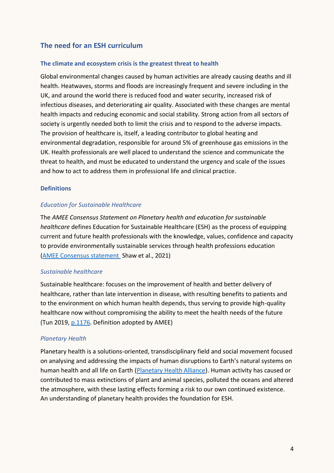# <span id="page-3-0"></span>**The need for an ESH curriculum**

#### <span id="page-3-1"></span>**The climate and ecosystem crisis is the greatest threat to health**

Global environmental changes caused by human activities are already causing deaths and ill health. Heatwaves, storms and floods are increasingly frequent and severe including in the UK, and around the world there is reduced food and water security, increased risk of infectious diseases, and deteriorating air quality. Associated with these changes are mental health impacts and reducing economic and social stability. Strong action from all sectors of society is urgently needed both to limit the crisis and to respond to the adverse impacts. The provision of healthcare is, itself, a leading contributor to global heating and environmental degradation, responsible for around 5% of greenhouse gas emissions in the UK. Health professionals are well placed to understand the science and communicate the threat to health, and must be educated to understand the urgency and scale of the issues and how to act to address them in professional life and clinical practice.

#### <span id="page-3-2"></span>**Definitions**

#### <span id="page-3-3"></span>*Education for Sustainable Healthcare*

The *AMEE Consensus Statement on Planetary health and education for sustainable healthcare* defines Education for Sustainable Healthcare (ESH) as the process of equipping current and future health professionals with the knowledge, values, confidence and capacity to provide environmentally sustainable services through health professions education [\(AMEE Consensus statement](https://www.tandfonline.com/doi/full/10.1080/0142159X.2020.1860207) Shaw et al., 2021)

#### <span id="page-3-4"></span>*Sustainable healthcare*

Sustainable healthcare: focuses on the improvement of health and better delivery of healthcare, rather than late intervention in disease, with resulting benefits to patients and to the environment on which human health depends, thus serving to provide high-quality healthcare now without compromising the ability to meet the health needs of the future (Tun 2019, [p.1176.](https://www.tandfonline.com/doi/full/10.1080/0142159X.2019.1623870) Definition adopted by AMEE)

#### <span id="page-3-5"></span>*Planetary Health*

Planetary health is a solutions-oriented, transdisciplinary field and social movement focused on analysing and addressing the impacts of human disruptions to Earth's natural systems on human health and all life on Earth [\(Planetary Health Alliance\)](https://www.planetaryhealthalliance.org/planetary-health). Human activity has caused or contributed to mass extinctions of plant and animal species, polluted the oceans and altered the atmosphere, with these lasting effects forming a risk to our own continued existence. An understanding of planetary health provides the foundation for ESH.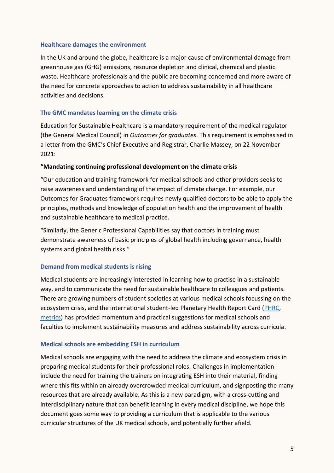#### <span id="page-4-0"></span>**Healthcare damages the environment**

In the UK and around the globe, healthcare is a major cause of environmental damage from greenhouse gas (GHG) emissions, resource depletion and clinical, chemical and plastic waste. Healthcare professionals and the public are becoming concerned and more aware of the need for concrete approaches to action to address sustainability in all healthcare activities and decisions.

#### <span id="page-4-1"></span>**The GMC mandates learning on the climate crisis**

Education for Sustainable Healthcare is a mandatory requirement of the medical regulator (the General Medical Council) in *Outcomes for graduates*. This requirement is emphasised in a letter from the GMC's Chief Executive and Registrar, Charlie Massey, on 22 November 2021:

#### **"Mandating continuing professional development on the climate crisis**

"Our education and training framework for medical schools and other providers seeks to raise awareness and understanding of the impact of climate change. For example, our Outcomes for Graduates framework requires newly qualified doctors to be able to apply the principles, methods and knowledge of population health and the improvement of health and sustainable healthcare to medical practice.

"Similarly, the Generic Professional Capabilities say that doctors in training must demonstrate awareness of basic principles of global health including governance, health systems and global health risks."

#### <span id="page-4-2"></span>**Demand from medical students is rising**

Medical students are increasingly interested in learning how to practise in a sustainable way, and to communicate the need for sustainable healthcare to colleagues and patients. There are growing numbers of student societies at various medical schools focussing on the ecosystem crisis, and the international student-led Planetary Health Report Card [\(PHRC,](https://phreportcard.org/) [metrics\)](https://phreportcard.org/our-metrics/) has provided momentum and practical suggestions for medical schools and faculties to implement sustainability measures and address sustainability across curricula.

#### <span id="page-4-3"></span>**Medical schools are embedding ESH in curriculum**

Medical schools are engaging with the need to address the climate and ecosystem crisis in preparing medical students for their professional roles. Challenges in implementation include the need for training the trainers on integrating ESH into their material, finding where this fits within an already overcrowded medical curriculum, and signposting the many resources that are already available. As this is a new paradigm, with a cross-cutting and interdisciplinary nature that can benefit learning in every medical discipline, we hope this document goes some way to providing a curriculum that is applicable to the various curricular structures of the UK medical schools, and potentially further afield.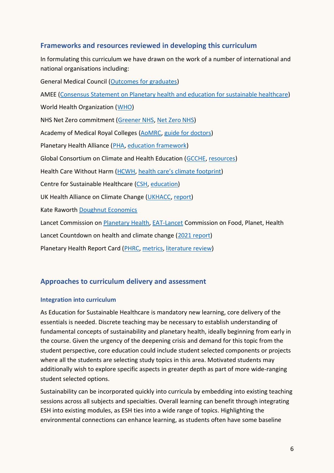### <span id="page-5-0"></span>**Frameworks and resources reviewed in developing this curriculum**

In formulating this curriculum we have drawn on the work of a number of international and national organisations including: General Medical Council [\(Outcomes for graduates\)](https://www.gmc-uk.org/education/standards-guidance-and-curricula/standards-and-outcomes/outcomes-for-graduates) AMEE [\(Consensus Statement on Planetary health and education for sustainable healthcare\)](https://www.tandfonline.com/doi/full/10.1080/0142159X.2020.1860207) World Health Organization [\(WHO\)](https://www.who.int/health-topics/climate-change#tab=tab_1) NHS Net Zero commitment [\(Greener NHS,](https://www.england.nhs.uk/greenernhs/) [Net Zero NHS\)](https://www.england.nhs.uk/greenernhs/a-net-zero-nhs/) Academy of Medical Royal Colleges [\(AoMRC,](https://www.aomrc.org.uk/wp-content/uploads/2020/07/200707_climate_change_statement.pdf) [guide for doctors\)](https://www.aomrc.org.uk/wp-content/uploads/2016/05/Protecting_Resources_Promoting_Value_1114.pdf) Planetary Health Alliance [\(PHA,](https://www.planetaryhealthalliance.org/) [education framework\)](https://www.planetaryhealthalliance.org/education-framework) Global Consortium on Climate and Health Education [\(GCCHE,](http://www.publichealth.columbia.edu/research/global-consortium-climate-and-health-education) [resources\)](https://www.publichealth.columbia.edu/research/global-consortium-climate-and-health-education/climate-resources-health-education-initiative) Health Care Without Harm [\(HCWH,](https://noharm-europe.org/content/europe/who-we-are) [health care's climate footprint](https://noharm-global.org/sites/default/files/documents-files/5961/HealthCaresClimateFootprint_092319.pdf)) Centre for Sustainable Healthcare [\(CSH,](https://sustainablehealthcare.org.uk/) [education\)](https://sustainablehealthcare.org.uk/what-we-do/education-and-training) UK Health Alliance on Climate Change [\(UKHACC,](http://www.ukhealthalliance.org/members/) [report\)](http://www.ukhealthalliance.org/wp-content/uploads/2021/02/This-report-comes-with-a-health-warning-the-impacts-of-climate-change-on-public-health-compressed.pdf) Kate Raworth [Doughnut Economics](https://www.kateraworth.com/doughnut/) Lancet Commission on **Planetary Health, [EAT-Lancet](https://www.thelancet.com/commissions/EAT) Commission on Food**, Planet, Health Lancet Countdown on health and climate change [\(2021 report\)](https://www.thelancet.com/journals/lancet/article/PIIS0140-6736(21)01787-6/fulltext#seccestitle70) Planetary Health Report Card [\(PHRC,](https://phreportcard.org/) [metrics,](https://phreportcard.org/metrics/) [literature review\)](https://phreportcard.org/wp-content/uploads/2022/04/PHRC-Literature-Review.pdf)

# <span id="page-5-1"></span>**Approaches to curriculum delivery and assessment**

#### <span id="page-5-2"></span>**Integration into curriculum**

As Education for Sustainable Healthcare is mandatory new learning, core delivery of the essentials is needed. Discrete teaching may be necessary to establish understanding of fundamental concepts of sustainability and planetary health, ideally beginning from early in the course. Given the urgency of the deepening crisis and demand for this topic from the student perspective, core education could include student selected components or projects where all the students are selecting study topics in this area. Motivated students may additionally wish to explore specific aspects in greater depth as part of more wide-ranging student selected options.

Sustainability can be incorporated quickly into curricula by embedding into existing teaching sessions across all subjects and specialties. Overall learning can benefit through integrating ESH into existing modules, as ESH ties into a wide range of topics. Highlighting the environmental connections can enhance learning, as students often have some baseline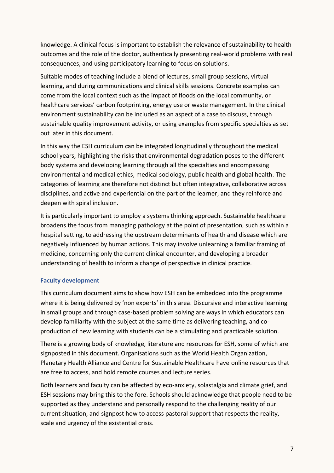knowledge. A clinical focus is important to establish the relevance of sustainability to health outcomes and the role of the doctor, authentically presenting real-world problems with real consequences, and using participatory learning to focus on solutions.

Suitable modes of teaching include a blend of lectures, small group sessions, virtual learning, and during communications and clinical skills sessions. Concrete examples can come from the local context such as the impact of floods on the local community, or healthcare services' carbon footprinting, energy use or waste management. In the clinical environment sustainability can be included as an aspect of a case to discuss, through sustainable quality improvement activity, or using examples from specific specialties as set out later in this document.

In this way the ESH curriculum can be integrated longitudinally throughout the medical school years, highlighting the risks that environmental degradation poses to the different body systems and developing learning through all the specialties and encompassing environmental and medical ethics, medical sociology, public health and global health. The categories of learning are therefore not distinct but often integrative, collaborative across disciplines, and active and experiential on the part of the learner, and they reinforce and deepen with spiral inclusion.

It is particularly important to employ a systems thinking approach. Sustainable healthcare broadens the focus from managing pathology at the point of presentation, such as within a hospital setting, to addressing the upstream determinants of health and disease which are negatively influenced by human actions. This may involve unlearning a familiar framing of medicine, concerning only the current clinical encounter, and developing a broader understanding of health to inform a change of perspective in clinical practice.

#### <span id="page-6-0"></span>**Faculty development**

This curriculum document aims to show how ESH can be embedded into the programme where it is being delivered by 'non experts' in this area. Discursive and interactive learning in small groups and through case-based problem solving are ways in which educators can develop familiarity with the subject at the same time as delivering teaching, and coproduction of new learning with students can be a stimulating and practicable solution.

There is a growing body of knowledge, literature and resources for ESH, some of which are signposted in this document. Organisations such as the World Health Organization, Planetary Health Alliance and Centre for Sustainable Healthcare have online resources that are free to access, and hold remote courses and lecture series.

Both learners and faculty can be affected by eco-anxiety, solastalgia and climate grief, and ESH sessions may bring this to the fore. Schools should acknowledge that people need to be supported as they understand and personally respond to the challenging reality of our current situation, and signpost how to access pastoral support that respects the reality, scale and urgency of the existential crisis.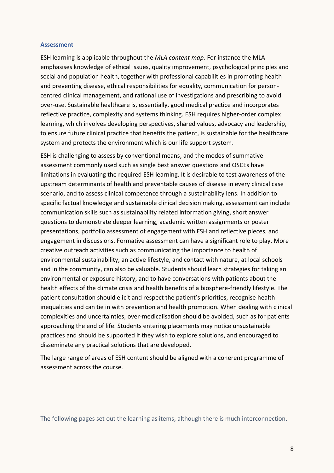#### <span id="page-7-0"></span>**Assessment**

ESH learning is applicable throughout the *MLA content map*. For instance the MLA emphasises knowledge of ethical issues, quality improvement, psychological principles and social and population health, together with professional capabilities in promoting health and preventing disease, ethical responsibilities for equality, communication for personcentred clinical management, and rational use of investigations and prescribing to avoid over-use. Sustainable healthcare is, essentially, good medical practice and incorporates reflective practice, complexity and systems thinking. ESH requires higher-order complex learning, which involves developing perspectives, shared values, advocacy and leadership, to ensure future clinical practice that benefits the patient, is sustainable for the healthcare system and protects the environment which is our life support system.

ESH is challenging to assess by conventional means, and the modes of summative assessment commonly used such as single best answer questions and OSCEs have limitations in evaluating the required ESH learning. It is desirable to test awareness of the upstream determinants of health and preventable causes of disease in every clinical case scenario, and to assess clinical competence through a sustainability lens. In addition to specific factual knowledge and sustainable clinical decision making, assessment can include communication skills such as sustainability related information giving, short answer questions to demonstrate deeper learning, academic written assignments or poster presentations, portfolio assessment of engagement with ESH and reflective pieces, and engagement in discussions. Formative assessment can have a significant role to play. More creative outreach activities such as communicating the importance to health of environmental sustainability, an active lifestyle, and contact with nature, at local schools and in the community, can also be valuable. Students should learn strategies for taking an environmental or exposure history, and to have conversations with patients about the health effects of the climate crisis and health benefits of a biosphere-friendly lifestyle. The patient consultation should elicit and respect the patient's priorities, recognise health inequalities and can tie in with prevention and health promotion. When dealing with clinical complexities and uncertainties, over-medicalisation should be avoided, such as for patients approaching the end of life. Students entering placements may notice unsustainable practices and should be supported if they wish to explore solutions, and encouraged to disseminate any practical solutions that are developed.

The large range of areas of ESH content should be aligned with a coherent programme of assessment across the course.

The following pages set out the learning as items, although there is much interconnection.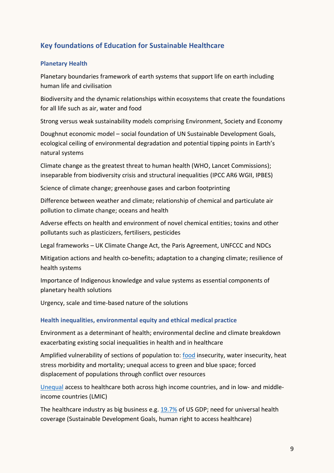# <span id="page-8-0"></span>**Key foundations of Education for Sustainable Healthcare**

#### <span id="page-8-1"></span>**Planetary Health**

Planetary boundaries framework of earth systems that support life on earth including human life and civilisation

Biodiversity and the dynamic relationships within ecosystems that create the foundations for all life such as air, water and food

Strong versus weak sustainability models comprising Environment, Society and Economy

Doughnut economic model – social foundation of UN Sustainable Development Goals, ecological ceiling of environmental degradation and potential tipping points in Earth's natural systems

Climate change as the greatest threat to human health (WHO, Lancet Commissions); inseparable from biodiversity crisis and structural inequalities (IPCC AR6 WGII, IPBES)

Science of climate change; greenhouse gases and carbon footprinting

Difference between weather and climate; relationship of chemical and particulate air pollution to climate change; oceans and health

Adverse effects on health and environment of novel chemical entities; toxins and other pollutants such as plasticizers, fertilisers, pesticides

Legal frameworks – UK Climate Change Act, the Paris Agreement, UNFCCC and NDCs

Mitigation actions and health co-benefits; adaptation to a changing climate; resilience of health systems

Importance of Indigenous knowledge and value systems as essential components of planetary health solutions

Urgency, scale and time-based nature of the solutions

#### <span id="page-8-2"></span>**Health inequalities, environmental equity and ethical medical practice**

Environment as a determinant of health; environmental decline and climate breakdown exacerbating existing social inequalities in health and in healthcare

Amplified vulnerability of sections of population to: [food](https://www.metoffice.gov.uk/research/climate/climate-impacts/food-security/impacts-on-food-security) insecurity, water insecurity, heat stress morbidity and mortality; unequal access to green and blue space; forced displacement of populations through conflict over resources

[Unequal](https://www.kingsfund.org.uk/publications/what-are-health-inequalities#what) access to healthcare both across high income countries, and in low- and middleincome countries (LMIC)

The healthcare industry as big business e.g[. 19.7%](https://www.cms.gov/Research-Statistics-Data-and-Systems/Statistics-Trends-and-Reports/NationalHealthExpendData/NHE-Fact-Sheet) of US GDP; need for universal health coverage (Sustainable Development Goals, human right to access healthcare)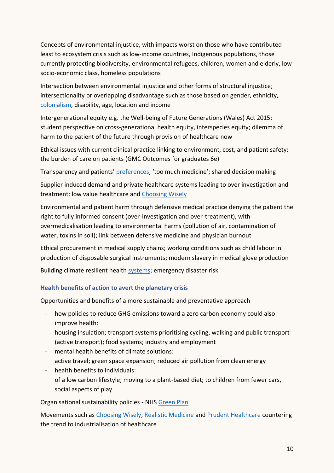Concepts of environmental injustice, with impacts worst on those who have contributed least to ecosystem crisis such as low-income countries, Indigenous populations, those currently protecting biodiversity, environmental refugees, children, women and elderly, low socio-economic class, homeless populations

Intersection between environmental injustice and other forms of structural injustice; intersectionality or overlapping disadvantage such as those based on gender, ethnicity, [colonialism,](https://report.ipcc.ch/ar6wg2/pdf/IPCC_AR6_WGII_SummaryForPolicymakers.pdf) disability, age, location and income

Intergenerational equity e.g. the Well-being of Future Generations (Wales) Act 2015; student perspective on cross-generational health equity, interspecies equity; dilemma of harm to the patient of the future through provision of healthcare now

Ethical issues with current clinical practice linking to environment, cost, and patient safety: the burden of care on patients (GMC Outcomes for graduates 6e)

Transparency and patients' [preferences](https://www.kingsfund.org.uk/publications/patients-preferences-matter); 'too much medicine'; shared decision making

Supplier induced demand and private healthcare systems leading to over investigation and treatment; low value healthcare and [Choosing Wisely](https://www.choosingwisely.co.uk/about-choosing-wisely-uk/)

Environmental and patient harm through defensive medical practice denying the patient the right to fully informed consent (over-investigation and over-treatment), with overmedicalisation leading to environmental harms (pollution of air, contamination of water, toxins in soil); link between defensive medicine and physician burnout

Ethical procurement in medical supply chains; working conditions such as child labour in production of disposable surgical instruments; modern slavery in medical glove production

Building climate resilient health [systems;](https://www.ccacoalition.org/en/resources/climate-smart-healthcare-low-carbon-and-resilience-strategies-health-sector) emergency disaster risk

#### <span id="page-9-0"></span>**Health benefits of action to avert the planetary crisis**

Opportunities and benefits of a more sustainable and preventative approach

- how policies to reduce GHG emissions toward a zero carbon economy could also improve health: housing insulation; transport systems prioritising cycling, walking and public transport (active transport); food systems; industry and employment
- mental health benefits of climate solutions: active travel; green space expansion; reduced air pollution from clean energy
- health benefits to individuals: of a low carbon lifestyle; moving to a plant-based diet; to children from fewer cars, social aspects of play

Organisational sustainability policies - NHS [Green Plan](https://www.england.nhs.uk/greenernhs/wp-content/uploads/sites/51/2021/06/B0507-how-to-produce-a-green-plan-three-year-strategy-towards-net-zero-june-2021.pdf)

Movements such as [Choosing Wisely,](https://www.choosingwisely.co.uk/) [Realistic Medicine](https://www.gov.scot/publications/personalising-realistic-medicine-chief-medical-officer-scotland-annual-report-2017-2018/) and [Prudent Healthcare](https://www.bevancommission.org/about/prudent-principles/) countering the trend to industrialisation of healthcare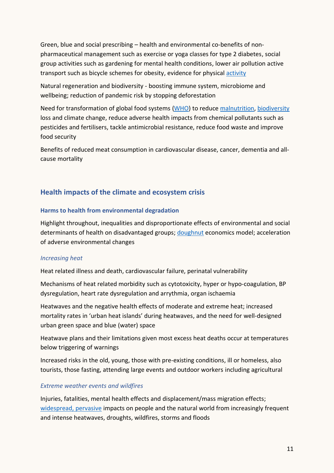Green, blue and social prescribing – health and environmental co-benefits of nonpharmaceutical management such as exercise or yoga classes for type 2 diabetes, social group activities such as gardening for mental health conditions, lower air pollution active transport such as bicycle schemes for obesity, evidence for physical [activity](https://www.aomrc.org.uk/reports-guidance/exercise-the-miracle-cure-0215/)

Natural regeneration and biodiversity - boosting immune system, microbiome and wellbeing; reduction of pandemic risk by stopping deforestation

Need for transformation of global food systems [\(WHO\)](https://www.who.int/publications/i/item/9789240031814) to reduce [malnutrition,](https://www.thelancet.com/journals/lancet/article/PIIS0140-6736(18)31788-4/fulltext?utm_campaign=tleat19&utm_source=hub_page) [biodiversity](https://www.who.int/publications/i/item/guidance-mainstreaming-biodiversity-for-nutrition-and-health) loss and climate change, reduce adverse health impacts from chemical pollutants such as pesticides and fertilisers, tackle antimicrobial resistance, reduce food waste and improve food security

Benefits of reduced meat consumption in cardiovascular disease, cancer, dementia and allcause mortality

# <span id="page-10-0"></span>**Health impacts of the climate and ecosystem crisis**

#### <span id="page-10-1"></span>**Harms to health from environmental degradation**

Highlight throughout, inequalities and disproportionate effects of environmental and social determinants of health on disadvantaged groups; [doughnut](https://www.kateraworth.com/doughnut/) economics model; acceleration of adverse environmental changes

#### <span id="page-10-2"></span>*Increasing heat*

Heat related illness and death, cardiovascular failure, perinatal vulnerability

Mechanisms of heat related morbidity such as cytotoxicity, hyper or hypo-coagulation, BP dysregulation, heart rate dysregulation and arrythmia, organ ischaemia

Heatwaves and the negative health effects of moderate and extreme heat; increased mortality rates in 'urban heat islands' during heatwaves, and the need for well-designed urban green space and blue (water) space

Heatwave plans and their limitations given most excess heat deaths occur at temperatures below triggering of warnings

Increased risks in the old, young, those with pre-existing conditions, ill or homeless, also tourists, those fasting, attending large events and outdoor workers including agricultural

#### <span id="page-10-3"></span>*Extreme weather events and wildfires*

Injuries, fatalities, mental health effects and displacement/mass migration effects; [widespread, pervasive](https://www.ipcc.ch/report/ar6/wg2/) impacts on people and the natural world from increasingly frequent and intense heatwaves, droughts, wildfires, storms and floods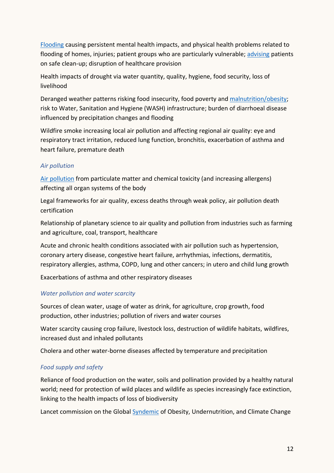[Flooding](https://assets.publishing.service.gov.uk/government/uploads/system/uploads/attachment_data/file/348917/Guidance_on_Recovery_from_Flooding_essential_info_from_frontline_responders.pdf) causing persistent mental health impacts, and physical health problems related to flooding of homes, injuries; patient groups who are particularly vulnerable; [advising](https://assets.publishing.service.gov.uk/government/uploads/system/uploads/attachment_data/file/348917/Guidance_on_Recovery_from_Flooding_essential_info_from_frontline_responders.pdf) patients on safe clean-up; disruption of healthcare provision

Health impacts of drought via water quantity, quality, hygiene, food security, loss of livelihood

Deranged weather patterns risking food insecurity, food poverty and [malnutrition/obesity;](https://www.thelancet.com/journals/lancet/article/PIIS0140-6736(18)32822-8/fulltext) risk to Water, Sanitation and Hygiene (WASH) infrastructure; burden of diarrhoeal disease influenced by precipitation changes and flooding

Wildfire smoke increasing local air pollution and affecting regional air quality: eye and respiratory tract irritation, reduced lung function, bronchitis, exacerbation of asthma and heart failure, premature death

#### <span id="page-11-0"></span>*Air pollution*

[Air pollution](https://www.gov.uk/government/publications/health-matters-air-pollution/health-matters-air-pollution) from particulate matter and chemical toxicity (and increasing allergens) affecting all organ systems of the body

Legal frameworks for air quality, excess deaths through weak policy, air pollution death certification

Relationship of planetary science to air quality and pollution from industries such as farming and agriculture, coal, transport, healthcare

Acute and chronic health conditions associated with air pollution such as hypertension, coronary artery disease, congestive heart failure, arrhythmias, infections, dermatitis, respiratory allergies, asthma, COPD, lung and other cancers; in utero and child lung growth

Exacerbations of asthma and other respiratory diseases

#### <span id="page-11-1"></span>*Water pollution and water scarcity*

Sources of clean water, usage of water as drink, for agriculture, crop growth, food production, other industries; pollution of rivers and water courses

Water scarcity causing crop failure, livestock loss, destruction of wildlife habitats, wildfires, increased dust and inhaled pollutants

Cholera and other water-borne diseases affected by temperature and precipitation

#### <span id="page-11-2"></span>*Food supply and safety*

Reliance of food production on the water, soils and pollination provided by a healthy natural world; need for protection of wild places and wildlife as species increasingly face extinction, linking to the health impacts of loss of biodiversity

Lancet commission on the Global [Syndemic](https://www.thelancet.com/journals/lancet/article/PIIS0140-6736(18)32822-8/fulltext) of Obesity, Undernutrition, and Climate Change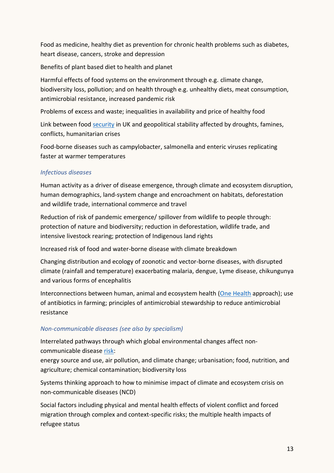Food as medicine, healthy diet as prevention for chronic health problems such as diabetes, heart disease, cancers, stroke and depression

Benefits of plant based diet to health and planet

Harmful effects of food systems on the environment through e.g. climate change, biodiversity loss, pollution; and on health through e.g. unhealthy diets, meat consumption, antimicrobial resistance, increased pandemic risk

Problems of excess and waste; inequalities in availability and price of healthy food

Link between food [security](https://www.metoffice.gov.uk/research/climate/climate-impacts/food-security/impacts-on-food-security) in UK and geopolitical stability affected by droughts, famines, conflicts, humanitarian crises

Food-borne diseases such as campylobacter, salmonella and enteric viruses replicating faster at warmer temperatures

#### <span id="page-12-0"></span>*Infectious diseases*

Human activity as a driver of disease emergence, through climate and ecosystem disruption, human demographics, land-system change and encroachment on habitats, deforestation and wildlife trade, international commerce and travel

Reduction of risk of pandemic emergence/ spillover from wildlife to people through: protection of nature and biodiversity; reduction in deforestation, wildlife trade, and intensive livestock rearing; protection of Indigenous land rights

Increased risk of food and water-borne disease with climate breakdown

Changing distribution and ecology of zoonotic and vector-borne diseases, with disrupted climate (rainfall and temperature) exacerbating malaria, dengue, Lyme disease, chikungunya and various forms of encephalitis

Interconnections between human, animal and ecosystem health [\(One Health](https://www.onehealthcommission.org/en/why_one_health/what_is_one_health/) approach); use of antibiotics in farming; principles of antimicrobial stewardship to reduce antimicrobial resistance

#### <span id="page-12-1"></span>*Non-communicable diseases (see also by specialism)*

Interrelated pathways through which global environmental changes affect noncommunicable disease [risk:](https://www.annualreviews.org/doi/10.1146/annurev-publhealth-040218-043706)

energy source and use, air pollution, and climate change; urbanisation; food, nutrition, and agriculture; chemical contamination; biodiversity loss

Systems thinking approach to how to minimise impact of climate and ecosystem crisis on non-communicable diseases (NCD)

Social factors including physical and mental health effects of violent conflict and forced migration through complex and context-specific risks; the multiple health impacts of refugee status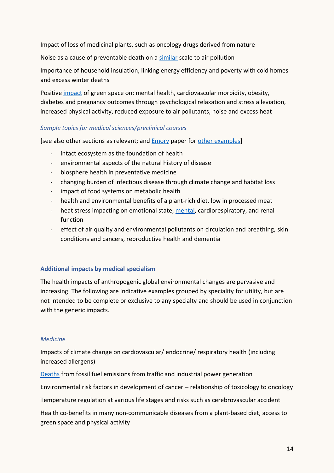Impact of loss of medicinal plants, such as oncology drugs derived from nature

Noise as a cause of preventable death on a [similar](https://ehp.niehs.nih.gov/doi/10.1289/EHP220) scale to air pollution

Importance of household insulation, linking energy efficiency and poverty with cold homes and excess winter deaths

Positive [impact](https://www.pure.ed.ac.uk/ws/portalfiles/portal/28632369/Urban_green_spaces_and_health_review_evidence.pdf) of green space on: mental health, cardiovascular morbidity, obesity, diabetes and pregnancy outcomes through psychological relaxation and stress alleviation, increased physical activity, reduced exposure to air pollutants, noise and excess heat

#### <span id="page-13-0"></span>*Sample topics for medical sciences/preclinical courses*

[see also other sections as relevant; and [Emory](https://journals.sagepub.com/doi/10.1177/2382120520957653) paper for [other examples\]](https://journals.sagepub.com/na101/home/literatum/publisher/sage/journals/content/mdea/2020/mdea_7/2382120520957653/20201013/images/large/10.1177_2382120520957653-table2.jpeg)

- intact ecosystem as the foundation of health
- environmental aspects of the natural history of disease
- biosphere health in preventative medicine
- changing burden of infectious disease through climate change and habitat loss
- impact of food systems on metabolic health
- health and environmental benefits of a plant-rich diet, low in processed meat
- heat stress impacting on emotional state, [mental,](https://ijmhs.biomedcentral.com/articles/10.1186/s13033-018-0210-6) cardiorespiratory, and renal function
- effect of air quality and environmental pollutants on circulation and breathing, skin conditions and cancers, reproductive health and dementia

#### <span id="page-13-1"></span>**Additional impacts by medical specialism**

The health impacts of anthropogenic global environmental changes are pervasive and increasing. The following are indicative examples grouped by speciality for utility, but are not intended to be complete or exclusive to any specialty and should be used in conjunction with the generic impacts.

#### <span id="page-13-2"></span>*Medicine*

Impacts of climate change on cardiovascular/ endocrine/ respiratory health (including increased allergens)

[Deaths](https://www.sciencedirect.com/science/article/abs/pii/S0013935121000487) from fossil fuel emissions from traffic and industrial power generation

Environmental risk factors in development of cancer – relationship of toxicology to oncology

Temperature regulation at various life stages and risks such as cerebrovascular accident

Health co-benefits in many non-communicable diseases from a plant-based diet, access to green space and physical activity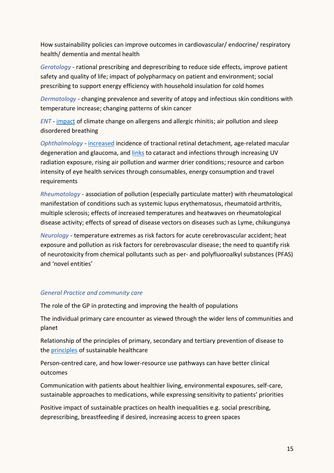How sustainability policies can improve outcomes in cardiovascular/ endocrine/ respiratory health/ dementia and mental health

<span id="page-14-0"></span>*Geratology* - rational prescribing and deprescribing to reduce side effects, improve patient safety and quality of life; impact of polypharmacy on patient and environment; social prescribing to support energy efficiency with household insulation for cold homes

<span id="page-14-1"></span>*Dermatology* - changing prevalence and severity of atopy and infectious skin conditions with temperature increase; changing patterns of skin cancer

<span id="page-14-2"></span>*ENT* - [impact](https://www.enttoday.org/article/what-otolaryngologists-can-do-to-lessen-their-carbon-footprint/) of climate change on allergens and allergic rhinitis; air pollution and sleep disordered breathing

<span id="page-14-3"></span>*Ophthalmology* - [increased](https://www.ncbi.nlm.nih.gov/pmc/articles/PMC8297364/) incidence of tractional retinal detachment, age-related macular degeneration and glaucoma, and [links](https://www.iapb.org/wp-content/uploads/2021/04/IAPB_CAWG_GUIDE-document.pdf) to cataract and infections through increasing UV radiation exposure, rising air pollution and warmer drier conditions; resource and carbon intensity of eye health services through consumables, energy consumption and travel requirements

<span id="page-14-4"></span>*Rheumatology* - association of pollution (especially particulate matter) with rheumatological manifestation of conditions such as systemic lupus erythematosus, rheumatoid arthritis, multiple sclerosis; effects of increased temperatures and heatwaves on rheumatological disease activity; effects of spread of disease vectors on diseases such as Lyme, chikungunya

<span id="page-14-5"></span>*Neurology* - temperature extremes as risk factors for acute cerebrovascular accident; heat exposure and pollution as risk factors for cerebrovascular disease; the need to quantify risk of neurotoxicity from chemical pollutants such as per- and polyfluoroalkyl substances (PFAS) and 'novel entities'

#### <span id="page-14-6"></span>*General Practice and community care*

The role of the GP in protecting and improving the health of populations

The individual primary care encounter as viewed through the wider lens of communities and planet

Relationship of the principles of primary, secondary and tertiary prevention of disease to the [principles](https://www.ncbi.nlm.nih.gov/pmc/articles/PMC7296569/) of sustainable healthcare

Person-centred care, and how lower-resource use pathways can have better clinical outcomes

Communication with patients about healthier living, environmental exposures, self-care, sustainable approaches to medications, while expressing sensitivity to patients' priorities

Positive impact of sustainable practices on health inequalities e.g. social prescribing, deprescribing, breastfeeding if desired, increasing access to green spaces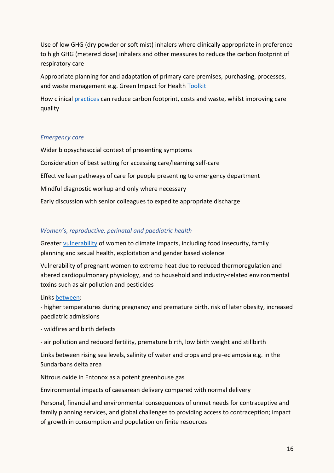Use of low GHG (dry powder or soft mist) inhalers where clinically appropriate in preference to high GHG (metered dose) inhalers and other measures to reduce the carbon footprint of respiratory care

Appropriate planning for and adaptation of primary care premises, purchasing, processes, and waste management e.g. Green Impact for Health [Toolkit](https://www.greenimpact.org.uk/giforhealth)

How clinical [practices](https://www.greenerpractice.co.uk/) can reduce carbon footprint, costs and waste, whilst improving care quality

#### <span id="page-15-0"></span>*Emergency care*

Wider biopsychosocial context of presenting symptoms Consideration of best setting for accessing care/learning self-care Effective lean pathways of care for people presenting to emergency department Mindful diagnostic workup and only where necessary Early discussion with senior colleagues to expedite appropriate discharge

#### <span id="page-15-1"></span>*Women's, reproductive, perinatal and paediatric health*

Greater [vulnerability](https://womendeliver.org/wp-content/uploads/2021/02/Climate-Change-Report-1.pdf) of women to climate impacts, including food insecurity, family planning and sexual health, exploitation and gender based violence

Vulnerability of pregnant women to extreme heat due to reduced thermoregulation and altered cardiopulmonary physiology, and to household and industry-related environmental toxins such as air pollution and pesticides

Links [between:](https://onlinelibrary.wiley.com/toc/13653016/2022/36/1)

- higher temperatures during pregnancy and premature birth, risk of later obesity, increased paediatric admissions

- wildfires and birth defects

- air pollution and reduced fertility, premature birth, low birth weight and stillbirth

Links between rising sea levels, salinity of water and crops and pre-eclampsia e.g. in the Sundarbans delta area

Nitrous oxide in Entonox as a potent greenhouse gas

Environmental impacts of caesarean delivery compared with normal delivery

Personal, financial and environmental consequences of unmet needs for contraceptive and family planning services, and global challenges to providing access to contraception; impact of growth in consumption and population on finite resources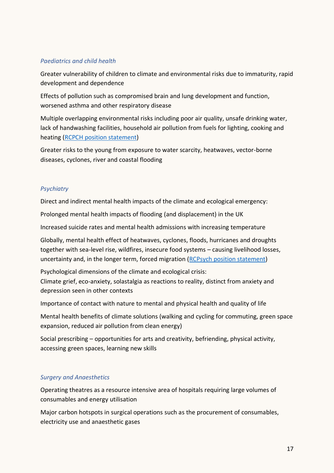#### <span id="page-16-0"></span>*Paediatrics and child health*

Greater vulnerability of children to climate and environmental risks due to immaturity, rapid development and dependence

Effects of pollution such as compromised brain and lung development and function, worsened asthma and other respiratory disease

Multiple overlapping environmental risks including poor air quality, unsafe drinking water, lack of handwashing facilities, household air pollution from fuels for lighting, cooking and heating [\(RCPCH position statement\)](https://www.rcpch.ac.uk/resources/impact-climate-change-global-child-health-position-statement#key-facts)

Greater risks to the young from exposure to water scarcity, heatwaves, vector-borne diseases, cyclones, river and coastal flooding

#### <span id="page-16-1"></span>*Psychiatry*

Direct and indirect mental health impacts of the climate and ecological emergency:

Prolonged mental health impacts of flooding (and displacement) in the UK

Increased suicide rates and mental health admissions with increasing temperature

Globally, mental health effect of heatwaves, cyclones, floods, hurricanes and droughts together with sea-level rise, wildfires, insecure food systems – causing livelihood losses, uncertainty and, in the longer term, forced migration [\(RCPsych position statement\)](https://www.rcpsych.ac.uk/docs/default-source/improving-care/better-mh-policy/position-statements/position-statement-ps03-21-climate-and-ecological-emergencies-2021.pdf)

Psychological dimensions of the climate and ecological crisis: Climate grief, eco-anxiety, solastalgia as reactions to reality, distinct from anxiety and depression seen in other contexts

Importance of contact with nature to mental and physical health and quality of life

Mental health benefits of climate solutions (walking and cycling for commuting, green space expansion, reduced air pollution from clean energy)

Social prescribing – opportunities for arts and creativity, befriending, physical activity, accessing green spaces, learning new skills

#### <span id="page-16-2"></span>*Surgery and Anaesthetics*

Operating theatres as a resource intensive area of hospitals requiring large volumes of consumables and energy utilisation

Major carbon hotspots in surgical operations such as the procurement of consumables, electricity use and anaesthetic gases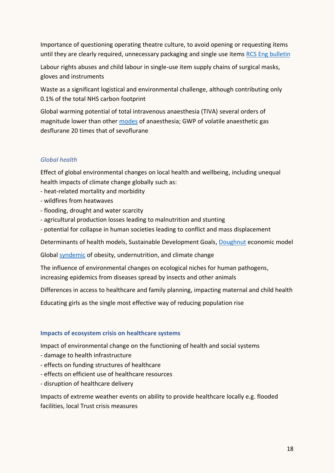Importance of questioning operating theatre culture, to avoid opening or requesting items until they are clearly required, unnecessary packaging and single use items [RCS Eng bulletin](https://publishing.rcseng.ac.uk/doi/full/10.1308/rcsbull.2020.148)

Labour rights abuses and child labour in single-use item supply chains of surgical masks, gloves and instruments

Waste as a significant logistical and environmental challenge, although contributing only 0.1% of the total NHS carbon footprint

Global warming potential of total intravenous anaesthesia (TIVA) several orders of magnitude lower than other [modes](https://journals.lww.com/anesthesia-analgesia/Fulltext/2012/05000/Life_Cycle_Greenhouse_Gas_Emissions_of_Anesthetic.25.asp) of anaesthesia; GWP of volatile anaesthetic gas desflurane 20 times that of sevoflurane

# <span id="page-17-0"></span>*Global health*

Effect of global environmental changes on local health and wellbeing, including unequal health impacts of climate change globally such as:

- heat-related mortality and morbidity
- wildfires from heatwaves
- flooding, drought and water scarcity
- agricultural production losses leading to malnutrition and stunting
- potential for collapse in human societies leading to conflict and mass displacement

Determinants of health models, Sustainable Development Goals, [Doughnut](https://www.kateraworth.com/doughnut/) economic model

Global [syndemic](https://www.thelancet.com/journals/lancet/article/PIIS0140-6736(18)32822-8/fulltext) of obesity, undernutrition, and climate change

The influence of environmental changes on ecological niches for human pathogens, increasing epidemics from diseases spread by insects and other animals

Differences in access to healthcare and family planning, impacting maternal and child health

Educating girls as the single most effective way of reducing population rise

#### <span id="page-17-1"></span>**Impacts of ecosystem crisis on healthcare systems**

Impact of environmental change on the functioning of health and social systems

- damage to health infrastructure
- effects on funding structures of healthcare
- effects on efficient use of healthcare resources
- disruption of healthcare delivery

Impacts of extreme weather events on ability to provide healthcare locally e.g. flooded facilities, local Trust crisis measures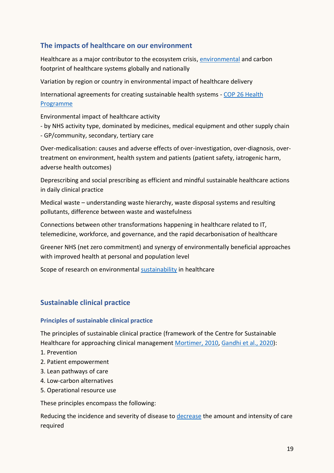# <span id="page-18-0"></span>**The impacts of healthcare on our environment**

Healthcare as a major contributor to the ecosystem crisis, [environmental](https://www.thelancet.com/journals/lanplh/article/PIIS2542-5196(20)30121-2/fulltext) and carbon footprint of healthcare systems globally and nationally

Variation by region or country in environmental impact of healthcare delivery

International agreements for creating sustainable health systems - [COP 26 Health](https://www.bmj.com/content/375/bmj.n2734)  [Programme](https://www.bmj.com/content/375/bmj.n2734)

Environmental impact of healthcare activity

- by NHS activity type, dominated by medicines, medical equipment and other supply chain
- GP/community, secondary, tertiary care

Over-medicalisation: causes and adverse effects of over-investigation, over-diagnosis, overtreatment on environment, health system and patients (patient safety, iatrogenic harm, adverse health outcomes)

Deprescribing and social prescribing as efficient and mindful sustainable healthcare actions in daily clinical practice

Medical waste – understanding waste hierarchy, waste disposal systems and resulting pollutants, difference between waste and wastefulness

Connections between other transformations happening in healthcare related to IT, telemedicine, workforce, and governance, and the rapid decarbonisation of healthcare

Greener NHS (net zero commitment) and synergy of environmentally beneficial approaches with improved health at personal and population level

Scope of research on environmental [sustainability](https://www.sciencedirect.com/science/article/pii/S092134492030197X?via%3Dihub) in healthcare

# <span id="page-18-1"></span>**Sustainable clinical practice**

#### <span id="page-18-2"></span>**Principles of sustainable clinical practice**

The principles of sustainable clinical practice (framework of the Centre for Sustainable Healthcare for approaching clinical management [Mortimer, 2010,](https://www.ncbi.nlm.nih.gov/pmc/articles/PMC4952075/) [Gandhi et al., 2020\)](https://www.rcpjournals.org/content/futurehosp/7/2/102):

- 1. Prevention
- 2. Patient empowerment
- 3. Lean pathways of care
- 4. Low-carbon alternatives
- 5. Operational resource use

These principles encompass the following:

Reducing the incidence and severity of disease to [decrease](https://www.bmj.com/content/374/bmj.n1323) the amount and intensity of care required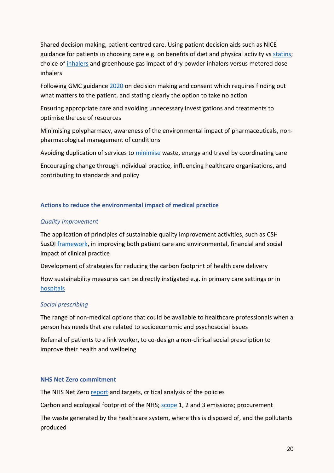Shared decision making, patient-centred care. Using patient decision aids such as NICE guidance for patients in choosing care e.g. on benefits of diet and physical activity vs [statins;](https://www.nice.org.uk/guidance/cg181/resources/patient-decision-aid-243780159) choice of [inhalers](https://s40639.pcdn.co/wp-content/uploads/Reducing-Carbon-Footprint-of-Inhaler-Prescribing-v3.3.2.pdf) and greenhouse gas impact of dry powder inhalers versus metered dose inhalers

Following GMC guidance [2020](https://www.gmc-uk.org/-/media/documents/gmc-guidance-for-doctors---decision-making-and-consent-english_pdf-84191055.pdf) on decision making and consent which requires finding out what matters to the patient, and stating clearly the option to take no action

Ensuring appropriate care and avoiding unnecessary investigations and treatments to optimise the use of resources

Minimising polypharmacy, awareness of the environmental impact of pharmaceuticals, nonpharmacological management of conditions

Avoiding duplication of services to [minimise](https://www.aomrc.org.uk/wp-content/uploads/2016/05/Protecting_Resources_Promoting_Value_1114.pdf) waste, energy and travel by coordinating care

Encouraging change through individual practice, influencing healthcare organisations, and contributing to standards and policy

#### <span id="page-19-0"></span>**Actions to reduce the environmental impact of medical practice**

#### <span id="page-19-1"></span>*Quality improvement*

The application of principles of sustainable quality improvement activities, such as CSH SusQI [framework,](https://sustainablehealthcare.org.uk/susqi) in improving both patient care and environmental, financial and social impact of clinical practice

Development of strategies for reducing the carbon footprint of health care delivery

How sustainability measures can be directly instigated e.g. in primary care settings or in [hospitals](https://www.greenhospitals.net/)

#### <span id="page-19-2"></span>*Social prescribing*

The range of non-medical options that could be available to healthcare professionals when a person has needs that are related to socioeconomic and psychosocial issues

Referral of patients to a link worker, to co-design a non-clinical social prescription to improve their health and wellbeing

#### <span id="page-19-3"></span>**NHS Net Zero commitment**

The NHS Net Zer[o report](https://www.england.nhs.uk/greenernhs/wp-content/uploads/sites/51/2020/10/delivering-a-net-zero-national-health-service.pdf) and targets, critical analysis of the policies

Carbon and ecological footprint of the NHS; [scope](https://www.thelancet.com/journals/lanplh/article/PIIS2542-5196(20)30271-0/fulltext) 1, 2 and 3 emissions; procurement

The waste generated by the healthcare system, where this is disposed of, and the pollutants produced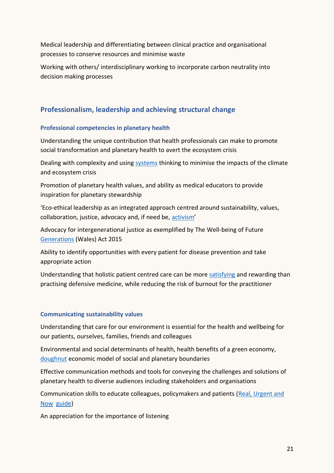Medical leadership and differentiating between clinical practice and organisational processes to conserve resources and minimise waste

Working with others/ interdisciplinary working to incorporate carbon neutrality into decision making processes

# <span id="page-20-0"></span>**Professionalism, leadership and achieving structural change**

#### <span id="page-20-1"></span>**Professional competencies in planetary health**

Understanding the unique contribution that health professionals can make to promote social transformation and planetary health to avert the ecosystem crisis

Dealing with complexity and using [systems](https://www.thelancet.com/journals/lanplh/article/PIIS2542-5196(18)30022-6/fulltext) thinking to minimise the impacts of the climate and ecosystem crisis

Promotion of planetary health values, and ability as medical educators to provide inspiration for planetary stewardship

'Eco-ethical leadership as an integrated approach centred around sustainability, values, collaboration, justice, advocacy and, if need be, [activism](https://www.tandfonline.com/doi/full/10.1080/0142159X.2020.1748877)'

Advocacy for intergenerational justice as exemplified by The Well-being of Future [Generations](https://www.futuregenerations.wales/about-us/future-generations-act/) (Wales) Act 2015

Ability to identify opportunities with every patient for disease prevention and take appropriate action

Understanding that holistic patient centred care can be more [satisfying](https://www.personalisedcareinstitute.org.uk/) and rewarding than practising defensive medicine, while reducing the risk of burnout for the practitioner

#### <span id="page-20-2"></span>**Communicating sustainability values**

Understanding that care for our environment is essential for the health and wellbeing for our patients, ourselves, families, friends and colleagues

Environmental and social determinants of health, health benefits of a green economy, [doughnut](https://www.kateraworth.com/doughnut/) economic model of social and planetary boundaries

Effective communication methods and tools for conveying the challenges and solutions of planetary health to diverse audiences including stakeholders and organisations

Communication skills to educate colleagues, policymakers and patients [\(Real, Urgent and](https://www.caha.org.au/run)  [Now](https://www.caha.org.au/run) [guide\)](https://d3n8a8pro7vhmx.cloudfront.net/caha/pages/1957/attachments/original/1620887738/caha-run-communication-guide-FA.pdf?1620887738)

An appreciation for the importance of listening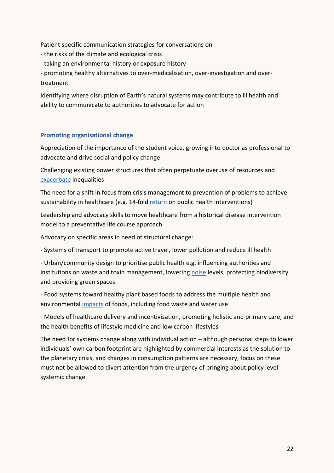Patient specific communication strategies for conversations on

- the risks of the climate and ecological crisis
- taking an environmental history or exposure history

- promoting healthy alternatives to over-medicalisation, over-investigation and overtreatment

Identifying where disruption of Earth's natural systems may contribute to ill health and ability to communicate to authorities to advocate for action

#### <span id="page-21-0"></span>**Promoting organisational change**

Appreciation of the importance of the student voice, growing into doctor as professional to advocate and drive social and policy change

Challenging existing power structures that often perpetuate overuse of resources and [exacerbate](https://www.tandfonline.com/doi/full/10.1080/0142159X.2020.1860207) inequalities

The need for a shift in focus from crisis management to prevention of problems to achieve sustainability in healthcare (e.g. 14-fold [return](https://jech.bmj.com/content/71/8/827.full) on public health interventions)

Leadership and advocacy skills to move healthcare from a historical disease intervention model to a preventative life course approach

Advocacy on specific areas in need of structural change:

- Systems of transport to promote active travel, lower pollution and reduce ill health

- Urban/community design to prioritise public health e.g. influencing authorities and institutions on waste and toxin management, lowering [noise](https://www.eea.europa.eu/publications/health-risks-caused-by-environmental) levels, protecting biodiversity and providing green spaces

- Food systems toward healthy plant based foods to address the multiple health and environmental [impacts](https://www.pnas.org/doi/full/10.1073/pnas.1906908116#fig02) of foods, including food waste and water use

- Models of healthcare delivery and incentivisation, promoting holistic and primary care, and the health benefits of lifestyle medicine and low carbon lifestyles

The need for systems change along with individual action – although personal steps to lower individuals' own carbon footprint are highlighted by commercial interests as the solution to the planetary crisis, and changes in consumption patterns are necessary, focus on these must not be allowed to divert attention from the urgency of bringing about policy level systemic change.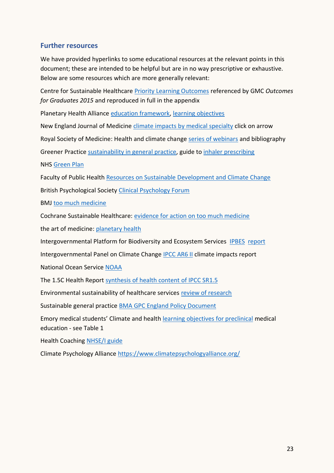#### <span id="page-22-0"></span>**Further resources**

We have provided hyperlinks to some educational resources at the relevant points in this document; these are intended to be helpful but are in no way prescriptive or exhaustive. Below are some resources which are more generally relevant:

Centre for Sustainable Healthcare [Priority Learning Outcomes](https://sustainablehealthcare.org.uk/educating-sustainable-healthcare-expanded-learning-outcomes) referenced by GMC *Outcomes for Graduates 2015* and reproduced in full in the appendix

Planetary Health Alliance [education framework,](https://www.planetaryhealthalliance.org/education-framework) [learning objectives](https://www.planetaryhealthalliance.org/planetary-health)

New England Journal of Medicine [climate impacts by medical specialty](https://www.nejm.org/doi/full/10.1056/NEJMp1906035) click on arrow

Royal Society of Medicine: Health and climate change [series of webinars](https://www.rsm.ac.uk/latest-news/2021/climate-change-series-resources-on-health-and-climate-change/) and bibliography

Greener Practice [sustainability in general practice,](https://www.greenerpractice.co.uk/) guide to [inhaler prescribing](https://www.greenerpractice.co.uk/greener-practice-guide-to-inhaler-prescribing)

NHS [Green Plan](https://www.england.nhs.uk/greenernhs/wp-content/uploads/sites/51/2021/06/B0507-how-to-produce-a-green-plan-three-year-strategy-towards-net-zero-june-2021.pdf)

Faculty of Public Health [Resources on Sustainable Development and Climate Change](https://www.fph.org.uk/policy-advocacy/special-interest-groups/special-interest-groups-list/sustainable-development-special-interest-group/resources-on-sustainable-development-and-climate-change/)

British Psychological Society [Clinical Psychology Forum](https://www.bps.org.uk/sites/www.bps.org.uk/files/Member%20Networks/Divisions/DCP/Clinical%20Psychology%20Forum%20346%20-%20Climate%20and%20ecological%20emergency.pdf)

BMJ [too much medicine](https://www.bmj.com/too-much-medicine)

Cochrane Sustainable Healthcare: [evidence for action on too much medicine](https://www.cochranelibrary.com/cdsr/doi/10.1002/14651858.ED000143/full)

the art of medicine: [planetary health](https://www.theartofmedicine.co.uk/creative-arts-resources/collections/planetary-health/)

Intergovernmental Platform for Biodiversity and Ecosystem Services [IPBES](https://ipbes.net/about) [report](https://ipbes.net/events/ipbes-ipcc-co-sponsored-workshop-report-biodiversity-and-climate-change)

Intergovernmental Panel on Climate Change IPCC [AR6 II](https://www.ipcc.ch/report/sixth-assessment-report-working-group-ii/) climate impacts report

National Ocean Service [NOAA](https://oceanservice.noaa.gov/facts/ocean-human-health.html)

The 1.5C Health Report [synthesis of health content of IPCC SR1.5](https://climatetracker.org/ipcc-report-on-health/)

Environmental sustainability of healthcare services [review of research](https://www.sciencedirect.com/science/article/pii/S092134492030197X)

Sustainable general practice [BMA GPC England Policy Document](https://www.bma.org.uk/media/2570/bma-sustainable-and-environmentally-friendly-general-practice-report-june-2020.pdf)

Emory medical students' Climate and health [learning objectives for preclinical](https://journals.sagepub.com/doi/pdf/10.1177/2382120520957653) medical education - see Table 1

Health Coaching [NHSE/I guide](https://www.england.nhs.uk/wp-content/uploads/2020/03/health-coaching-implementation-and-quality-summary-guide.pdf)

Climate Psychology Alliance <https://www.climatepsychologyalliance.org/>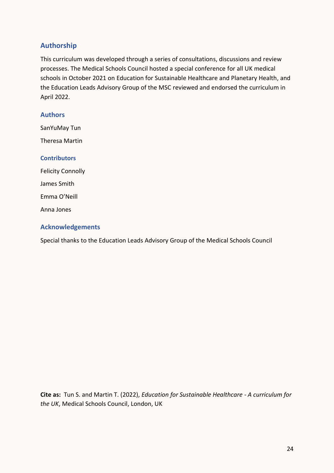# <span id="page-23-0"></span>**Authorship**

This curriculum was developed through a series of consultations, discussions and review processes. The Medical Schools Council hosted a special conference for all UK medical schools in October 2021 on Education for Sustainable Healthcare and Planetary Health, and the Education Leads Advisory Group of the MSC reviewed and endorsed the curriculum in April 2022.

#### <span id="page-23-1"></span>**Authors**

SanYuMay Tun

Theresa Martin

#### <span id="page-23-2"></span>**Contributors**

Felicity Connolly James Smith Emma O'Neill Anna Jones

#### <span id="page-23-3"></span>**Acknowledgements**

Special thanks to the Education Leads Advisory Group of the Medical Schools Council

**Cite as:** Tun S. and Martin T. (2022), *Education for Sustainable Healthcare - A curriculum for the UK*, Medical Schools Council, London, UK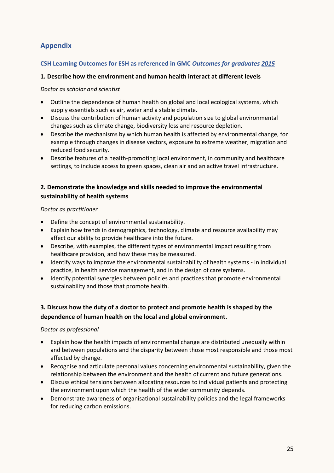# <span id="page-24-0"></span>**Appendix**

#### <span id="page-24-1"></span>**CSH Learning Outcomes for ESH as referenced in GMC** *Outcomes for graduates 2015*

#### **1. Describe how the environment and human health interact at different levels**

#### *Doctor as scholar and scientist*

- Outline the dependence of human health on global and local ecological systems, which supply essentials such as air, water and a stable climate.
- Discuss the contribution of human activity and population size to global environmental changes such as climate change, biodiversity loss and resource depletion.
- Describe the mechanisms by which human health is affected by environmental change, for example through changes in disease vectors, exposure to extreme weather, migration and reduced food security.
- Describe features of a health-promoting local environment, in community and healthcare settings, to include access to green spaces, clean air and an active travel infrastructure.

#### **2. Demonstrate the knowledge and skills needed to improve the environmental sustainability of health systems**

#### *Doctor as practitioner*

- Define the concept of environmental sustainability.
- Explain how trends in demographics, technology, climate and resource availability may affect our ability to provide healthcare into the future.
- Describe, with examples, the different types of environmental impact resulting from healthcare provision, and how these may be measured.
- Identify ways to improve the environmental sustainability of health systems in individual practice, in health service management, and in the design of care systems.
- Identify potential synergies between policies and practices that promote environmental sustainability and those that promote health.

#### **3. Discuss how the duty of a doctor to protect and promote health is shaped by the dependence of human health on the local and global environment.**

#### *Doctor as professional*

- Explain how the health impacts of environmental change are distributed unequally within and between populations and the disparity between those most responsible and those most affected by change.
- Recognise and articulate personal values concerning environmental sustainability, given the relationship between the environment and the health of current and future generations.
- Discuss ethical tensions between allocating resources to individual patients and protecting the environment upon which the health of the wider community depends.
- Demonstrate awareness of organisational sustainability policies and the legal frameworks for reducing carbon emissions.